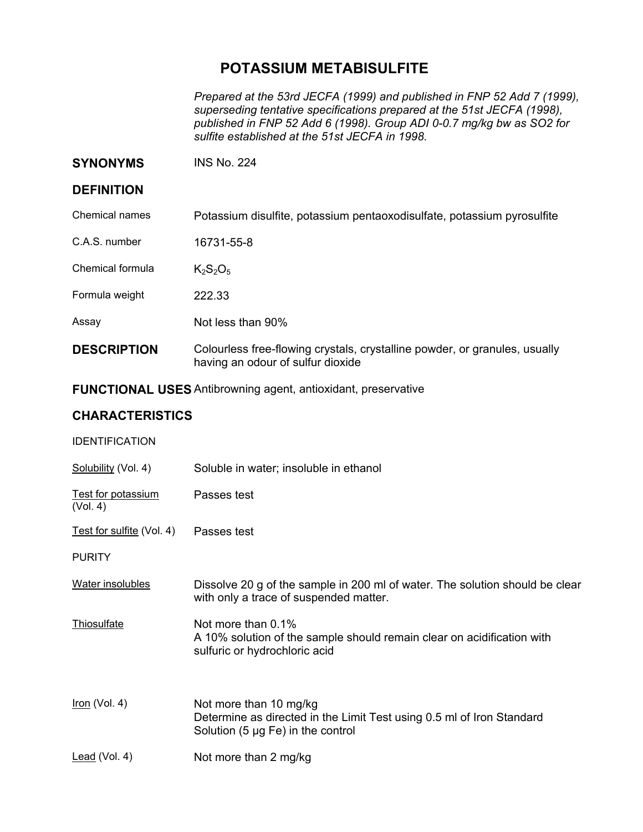# **POTASSIUM METABISULFITE**

*Prepared at the 53rd JECFA (1999) and published in FNP 52 Add 7 (1999), superseding tentative specifications prepared at the 51st JECFA (1998), published in FNP 52 Add 6 (1998). Group ADI 0-0.7 mg/kg bw as SO2 for sulfite established at the 51st JECFA in 1998.* 

**SYNONYMS** INS No. 224

#### **DEFINITION**

Chemical names Potassium disulfite, potassium pentaoxodisulfate, potassium pyrosulfite

C.A.S. number 16731-55-8

Chemical formula  $K_2S_2O_5$ 

Formula weight 222.33

Assay Not less than 90%

**DESCRIPTION** Colourless free-flowing crystals, crystalline powder, or granules, usually having an odour of sulfur dioxide

**FUNCTIONAL USES** Antibrowning agent, antioxidant, preservative

### **CHARACTERISTICS**

| <b>IDENTIFICATION</b>                 |                                                                                                                                           |
|---------------------------------------|-------------------------------------------------------------------------------------------------------------------------------------------|
| Solubility (Vol. 4)                   | Soluble in water; insoluble in ethanol                                                                                                    |
| <b>Test for potassium</b><br>(Vol. 4) | Passes test                                                                                                                               |
| Test for sulfite (Vol. 4)             | Passes test                                                                                                                               |
| <b>PURITY</b>                         |                                                                                                                                           |
| Water insolubles                      | Dissolve 20 g of the sample in 200 ml of water. The solution should be clear<br>with only a trace of suspended matter.                    |
| Thiosulfate                           | Not more than 0.1%<br>A 10% solution of the sample should remain clear on acidification with<br>sulfuric or hydrochloric acid             |
| $Iron$ (Vol. 4)                       | Not more than 10 mg/kg<br>Determine as directed in the Limit Test using 0.5 ml of Iron Standard<br>Solution (5 $\mu$ g Fe) in the control |
| Lead (Vol. 4)                         | Not more than 2 mg/kg                                                                                                                     |